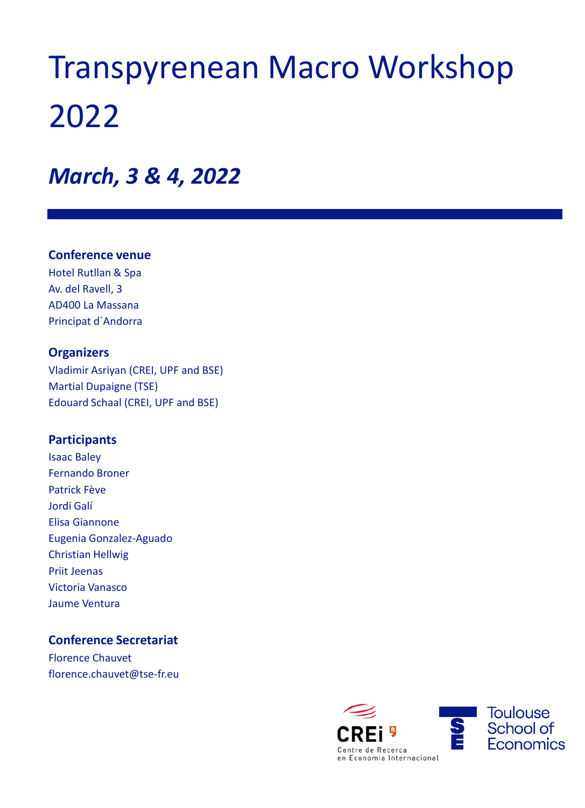# Transpyrenean Macro Workshop 2022

### *March, 3 & 4, 2022*

#### **Conference venue**

Hotel Rutllan & Spa Av. del Ravell, 3 AD400 La Massana Principat d´Andorra

#### **Organizers**

Vladimir Asriyan (CREI, UPF and BSE) Martial Dupaigne (TSE) Edouard Schaal (CREI, UPF and BSE)

#### **Participants**

Isaac Baley Fernando Broner Patrick Fève Jordi Galí Elisa Giannone Eugenia Gonzalez-Aguado Christian Hellwig Priit Jeenas Victoria Vanasco Jaume Ventura

#### **Conference Secretariat**

Florence Chauvet florence.chauvet@tse-fr.eu

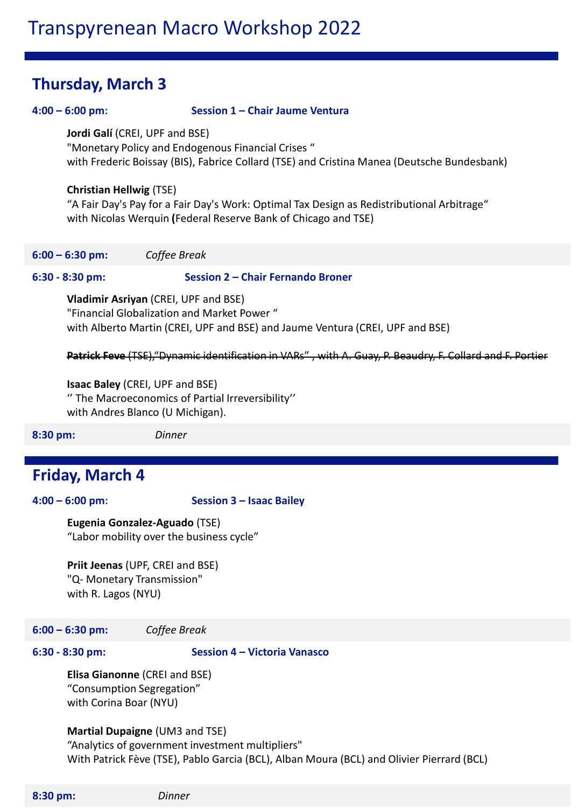#### **Thursday, March 3**

#### **4:00 – 6:00 pm: Session 1 – Chair Jaume Ventura**

**Jordi Galí** (CREI, UPF and BSE)

"Monetary Policy and Endogenous Financial Crises " with Frederic Boissay (BIS), Fabrice Collard (TSE) and Cristina Manea (Deutsche Bundesbank)

#### **Christian Hellwig** (TSE)

"A Fair Day's Pay for a Fair Day's Work: Optimal Tax Design as Redistributional Arbitrage" with Nicolas Werquin **(**Federal Reserve Bank of Chicago and TSE)

**6:00 – 6:30 pm:** *Coffee Break*

**6:30 - 8:30 pm: Session 2 – Chair Fernando Broner**

**Vladimir Asriyan** (CREI, UPF and BSE) "Financial Globalization and Market Power " with Alberto Martin (CREI, UPF and BSE) and Jaume Ventura (CREI, UPF and BSE)

**Patrick Feve** (TSE),"Dynamic identification in VARs" , with A. Guay, P. Beaudry, F. Collard and F. Portier

**Isaac Baley** (CREI, UPF and BSE) '' The Macroeconomics of Partial Irreversibility'' with Andres Blanco (U Michigan).

**8:30 pm:** *Dinner*

### **Friday, March 4**

**4:00 – 6:00 pm: Session 3 – Isaac Bailey**

**Eugenia Gonzalez-Aguado** (TSE) "Labor mobility over the business cycle"

**Priit Jeenas** (UPF, CREI and BSE) "Q- Monetary Transmission" with R. Lagos (NYU)

#### **6:00 – 6:30 pm:** *Coffee Break*

**6:30 - 8:30 pm: Session 4 – Victoria Vanasco**

**Elisa Gianonne** (CREI and BSE) "Consumption Segregation" with Corina Boar (NYU)

**Martial Dupaigne** (UM3 and TSE) "Analytics of government investment multipliers" With Patrick Fève (TSE), Pablo Garcia (BCL), Alban Moura (BCL) and Olivier Pierrard (BCL)